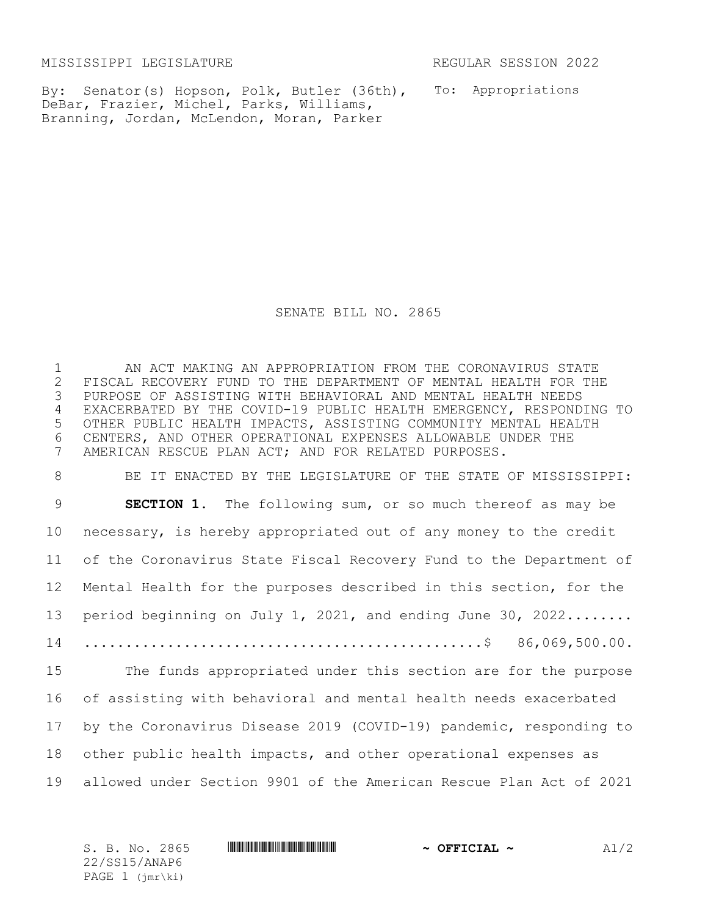MISSISSIPPI LEGISLATURE REGULAR SESSION 2022

By: Senator(s) Hopson, Polk, Butler (36th), To: Appropriations DeBar, Frazier, Michel, Parks, Williams, Branning, Jordan, McLendon, Moran, Parker

SENATE BILL NO. 2865

1 AN ACT MAKING AN APPROPRIATION FROM THE CORONAVIRUS STATE 2 FISCAL RECOVERY FUND TO THE DEPARTMENT OF MENTAL HEALTH FOR THE<br>3 PURPOSE OF ASSISTING WITH BEHAVIORAL AND MENTAL HEALTH NEEDS 3 PURPOSE OF ASSISTING WITH BEHAVIORAL AND MENTAL HEALTH NEEDS 4 EXACERBATED BY THE COVID-19 PUBLIC HEALTH EMERGENCY, RESPONDING TO 5 OTHER PUBLIC HEALTH IMPACTS, ASSISTING COMMUNITY MENTAL HEALTH 6 CENTERS, AND OTHER OPERATIONAL EXPENSES ALLOWABLE UNDER THE 7 AMERICAN RESCUE PLAN ACT: AND FOR RELATED PURPOSES. AMERICAN RESCUE PLAN ACT; AND FOR RELATED PURPOSES.

 BE IT ENACTED BY THE LEGISLATURE OF THE STATE OF MISSISSIPPI: **SECTION 1.** The following sum, or so much thereof as may be necessary, is hereby appropriated out of any money to the credit of the Coronavirus State Fiscal Recovery Fund to the Department of Mental Health for the purposes described in this section, for the 13 period beginning on July 1, 2021, and ending June 30, 2022....... ................................................\$ 86,069,500.00. The funds appropriated under this section are for the purpose of assisting with behavioral and mental health needs exacerbated by the Coronavirus Disease 2019 (COVID-19) pandemic, responding to other public health impacts, and other operational expenses as allowed under Section 9901 of the American Rescue Plan Act of 2021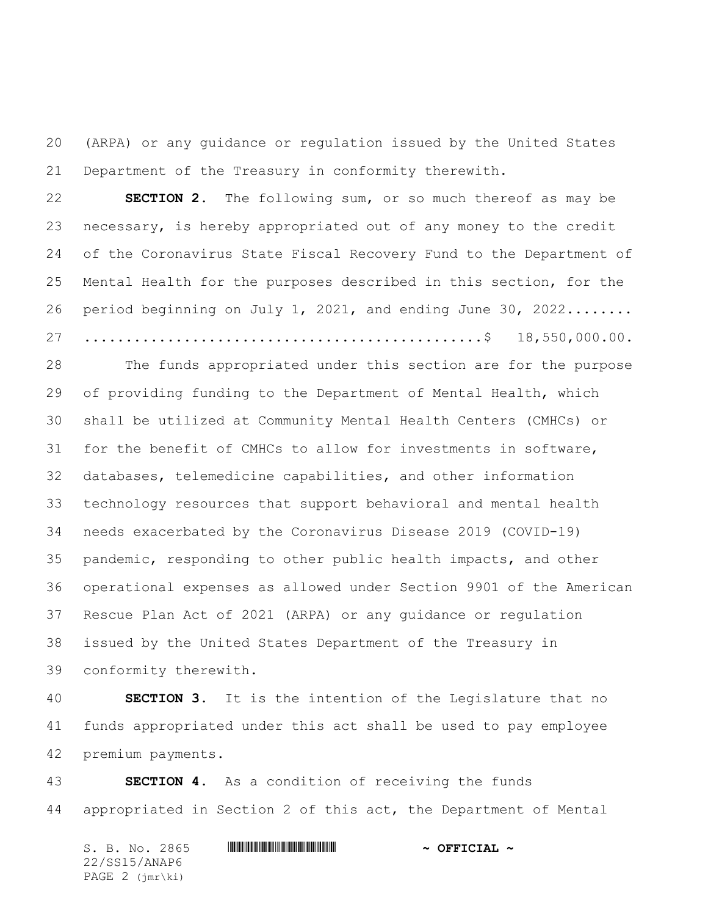(ARPA) or any guidance or regulation issued by the United States Department of the Treasury in conformity therewith.

 **SECTION 2.** The following sum, or so much thereof as may be necessary, is hereby appropriated out of any money to the credit of the Coronavirus State Fiscal Recovery Fund to the Department of Mental Health for the purposes described in this section, for the period beginning on July 1, 2021, and ending June 30, 2022........ ................................................\$ 18,550,000.00.

 The funds appropriated under this section are for the purpose of providing funding to the Department of Mental Health, which shall be utilized at Community Mental Health Centers (CMHCs) or for the benefit of CMHCs to allow for investments in software, databases, telemedicine capabilities, and other information technology resources that support behavioral and mental health needs exacerbated by the Coronavirus Disease 2019 (COVID-19) pandemic, responding to other public health impacts, and other operational expenses as allowed under Section 9901 of the American Rescue Plan Act of 2021 (ARPA) or any guidance or regulation issued by the United States Department of the Treasury in conformity therewith.

 **SECTION 3.** It is the intention of the Legislature that no funds appropriated under this act shall be used to pay employee premium payments.

 **SECTION 4.** As a condition of receiving the funds appropriated in Section 2 of this act, the Department of Mental

S. B. No. 2865 **\*\*\* ANAPE # SEPTICIAL ~** OFFICIAL ~ 22/SS15/ANAP6 PAGE 2 (jmr\ki)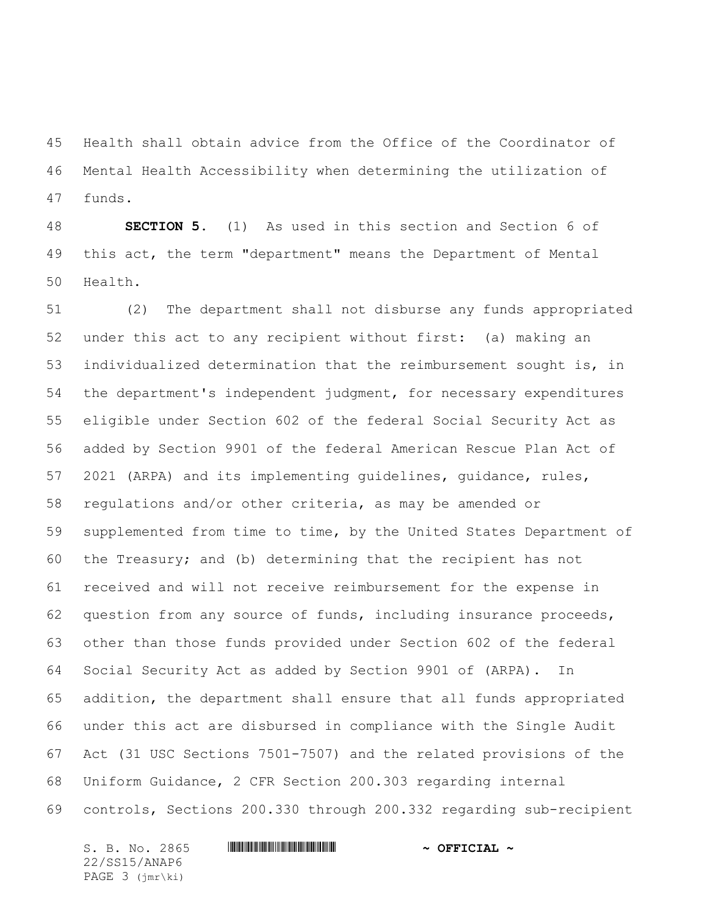Health shall obtain advice from the Office of the Coordinator of Mental Health Accessibility when determining the utilization of funds.

 **SECTION 5.** (1) As used in this section and Section 6 of this act, the term "department" means the Department of Mental Health.

 (2) The department shall not disburse any funds appropriated under this act to any recipient without first: (a) making an individualized determination that the reimbursement sought is, in the department's independent judgment, for necessary expenditures eligible under Section 602 of the federal Social Security Act as added by Section 9901 of the federal American Rescue Plan Act of 2021 (ARPA) and its implementing guidelines, guidance, rules, regulations and/or other criteria, as may be amended or supplemented from time to time, by the United States Department of the Treasury; and (b) determining that the recipient has not received and will not receive reimbursement for the expense in question from any source of funds, including insurance proceeds, other than those funds provided under Section 602 of the federal Social Security Act as added by Section 9901 of (ARPA). In addition, the department shall ensure that all funds appropriated under this act are disbursed in compliance with the Single Audit Act (31 USC Sections 7501-7507) and the related provisions of the Uniform Guidance, 2 CFR Section 200.303 regarding internal controls, Sections 200.330 through 200.332 regarding sub-recipient

22/SS15/ANAP6 PAGE 3 (jmr\ki)

## S. B. No. 2865 **\*\*\* ANAPE # SEPTICIAL ~** OFFICIAL ~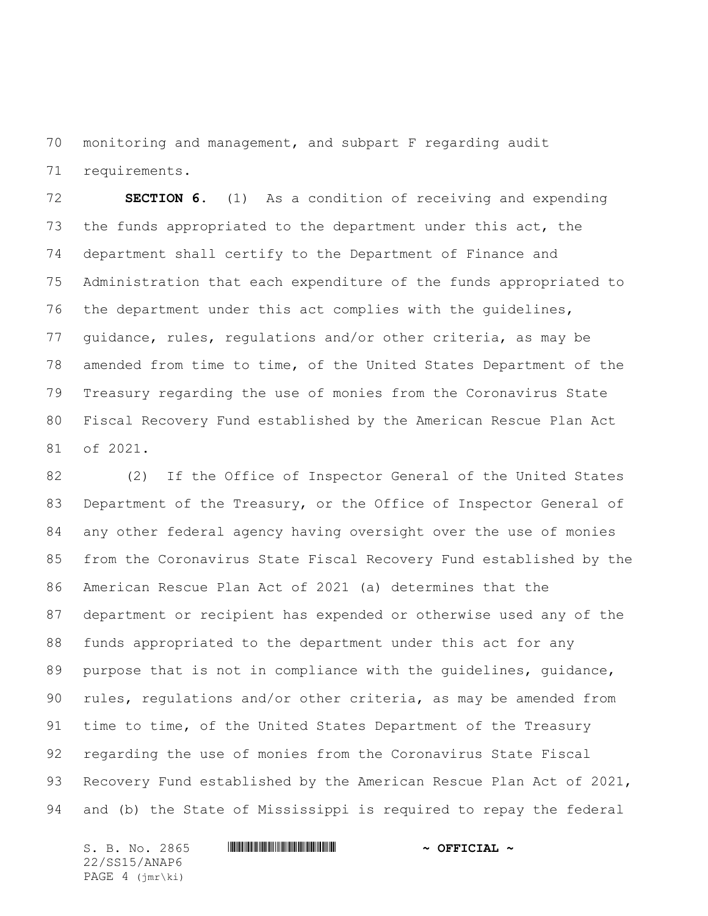monitoring and management, and subpart F regarding audit requirements.

 **SECTION 6.** (1) As a condition of receiving and expending the funds appropriated to the department under this act, the department shall certify to the Department of Finance and Administration that each expenditure of the funds appropriated to the department under this act complies with the guidelines, guidance, rules, regulations and/or other criteria, as may be amended from time to time, of the United States Department of the Treasury regarding the use of monies from the Coronavirus State Fiscal Recovery Fund established by the American Rescue Plan Act of 2021.

 (2) If the Office of Inspector General of the United States Department of the Treasury, or the Office of Inspector General of any other federal agency having oversight over the use of monies from the Coronavirus State Fiscal Recovery Fund established by the American Rescue Plan Act of 2021 (a) determines that the department or recipient has expended or otherwise used any of the funds appropriated to the department under this act for any 89 purpose that is not in compliance with the guidelines, guidance, rules, regulations and/or other criteria, as may be amended from time to time, of the United States Department of the Treasury regarding the use of monies from the Coronavirus State Fiscal 93 Recovery Fund established by the American Rescue Plan Act of 2021, and (b) the State of Mississippi is required to repay the federal

S. B. No. 2865 **\*\*\* ANAPE # SEPTICIAL ~** OFFICIAL ~ 22/SS15/ANAP6 PAGE 4 (jmr\ki)